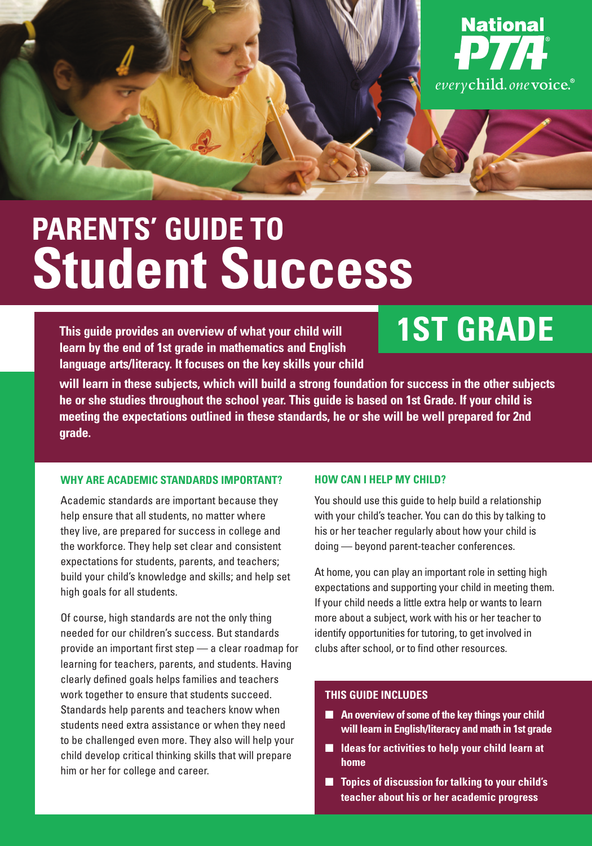

# **PARENTS' GUIDE TO Student Success**

**This guide provides an overview of what your child will learn by the end of 1st grade in mathematics and English language arts/literacy. It focuses on the key skills your child** 

# **1ST GRADE**

**will learn in these subjects, which will build a strong foundation for success in the other subjects he or she studies throughout the school year. This guide is based on 1st Grade. If your child is meeting the expectations outlined in these standards, he or she will be well prepared for 2nd grade.** 

#### **WHY ARE ACADEMIC STANDARDS IMPORTANT?**

Academic standards are important because they help ensure that all students, no matter where they live, are prepared for success in college and the workforce. They help set clear and consistent expectations for students, parents, and teachers; build your child's knowledge and skills; and help set high goals for all students.

Of course, high standards are not the only thing needed for our children's success. But standards provide an important first step — a clear roadmap for learning for teachers, parents, and students. Having clearly defined goals helps families and teachers work together to ensure that students succeed. Standards help parents and teachers know when students need extra assistance or when they need to be challenged even more. They also will help your child develop critical thinking skills that will prepare him or her for college and career.

#### **HOW CAN I HELP MY CHILD?**

You should use this guide to help build a relationship with your child's teacher. You can do this by talking to his or her teacher regularly about how your child is doing — beyond parent-teacher conferences.

At home, you can play an important role in setting high expectations and supporting your child in meeting them. If your child needs a little extra help or wants to learn more about a subject, work with his or her teacher to identify opportunities for tutoring, to get involved in clubs after school, or to find other resources.

#### **THIS GUIDE INCLUDES**

- An overview of some of the key things your child **will learn in English/literacy and math in 1st grade**
- **Ideas for activities to help your child learn at home**
- **Topics of discussion for talking to your child's teacher about his or her academic progress**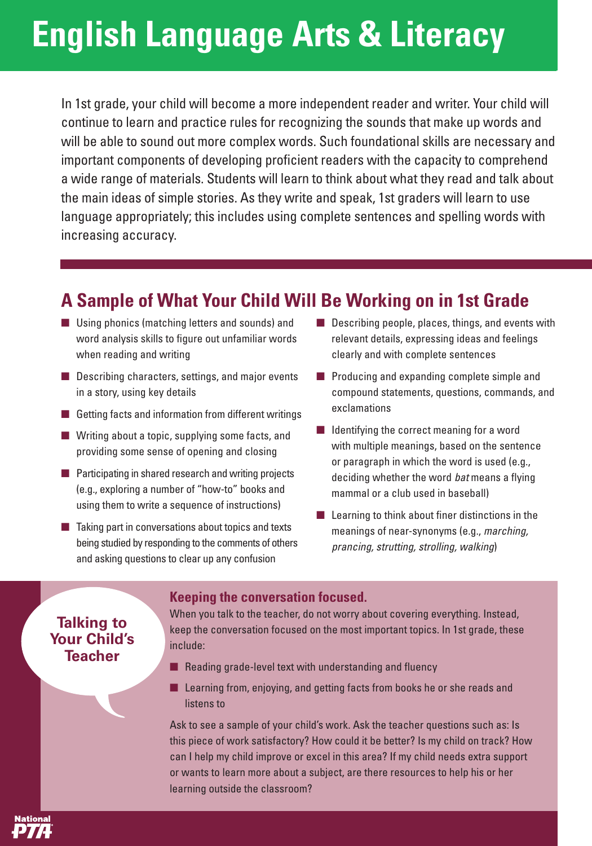# **English Language Arts & Literacy**

In 1st grade, your child will become a more independent reader and writer. Your child will continue to learn and practice rules for recognizing the sounds that make up words and will be able to sound out more complex words. Such foundational skills are necessary and important components of developing proficient readers with the capacity to comprehend a wide range of materials. Students will learn to think about what they read and talk about the main ideas of simple stories. As they write and speak, 1st graders will learn to use language appropriately; this includes using complete sentences and spelling words with increasing accuracy.

### **A Sample of What Your Child Will Be Working on in 1st Grade**

- Using phonics (matching letters and sounds) and word analysis skills to figure out unfamiliar words when reading and writing
- Describing characters, settings, and major events in a story, using key details
- Getting facts and information from different writings
- Writing about a topic, supplying some facts, and providing some sense of opening and closing
- Participating in shared research and writing projects (e.g., exploring a number of "how-to" books and using them to write a sequence of instructions)
- Taking part in conversations about topics and texts being studied by responding to the comments of others and asking questions to clear up any confusion
- Describing people, places, things, and events with relevant details, expressing ideas and feelings clearly and with complete sentences
- Producing and expanding complete simple and compound statements, questions, commands, and exclamations
- Identifying the correct meaning for a word with multiple meanings, based on the sentence or paragraph in which the word is used (e.g., deciding whether the word bat means a flying mammal or a club used in baseball)
- $\blacksquare$  Learning to think about finer distinctions in the meanings of near-synonyms (e.g., marching, prancing, strutting, strolling, walking)

### **Talking to Your Child's Teacher**

#### **Keeping the conversation focused.**

When you talk to the teacher, do not worry about covering everything. Instead, keep the conversation focused on the most important topics. In 1st grade, these include:

- Reading grade-level text with understanding and fluency
- Learning from, enjoying, and getting facts from books he or she reads and listens to

Ask to see a sample of your child's work. Ask the teacher questions such as: Is this piece of work satisfactory? How could it be better? Is my child on track? How can I help my child improve or excel in this area? If my child needs extra support or wants to learn more about a subject, are there resources to help his or her learning outside the classroom?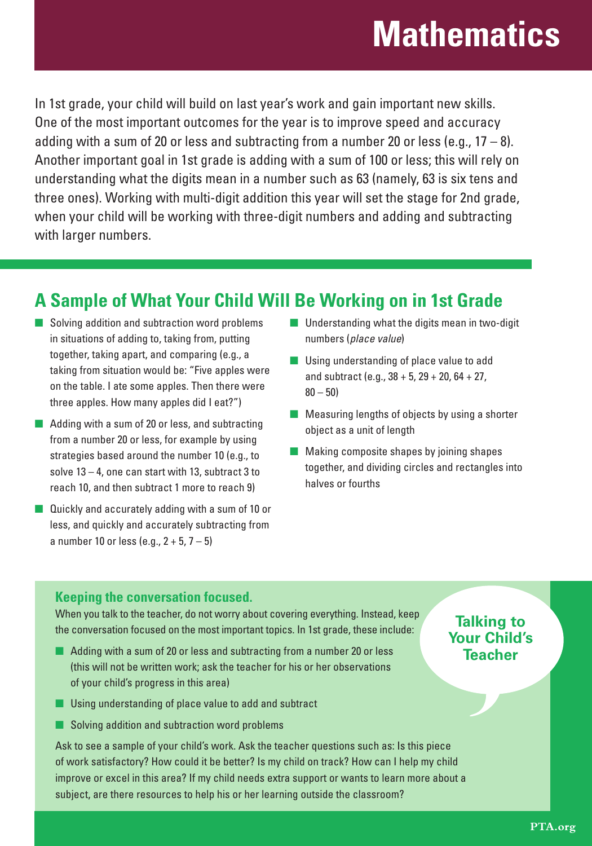## **Mathematics**

In 1st grade, your child will build on last year's work and gain important new skills. One of the most important outcomes for the year is to improve speed and accuracy adding with a sum of 20 or less and subtracting from a number 20 or less (e.g.,  $17 - 8$ ). Another important goal in 1st grade is adding with a sum of 100 or less; this will rely on understanding what the digits mean in a number such as 63 (namely, 63 is six tens and three ones). Working with multi-digit addition this year will set the stage for 2nd grade, when your child will be working with three-digit numbers and adding and subtracting with larger numbers.

### **A Sample of What Your Child Will Be Working on in 1st Grade**

- Solving addition and subtraction word problems in situations of adding to, taking from, putting together, taking apart, and comparing (e.g., a taking from situation would be: "Five apples were on the table. I ate some apples. Then there were three apples. How many apples did I eat?")
- Adding with a sum of 20 or less, and subtracting from a number 20 or less, for example by using strategies based around the number 10 (e.g., to solve  $13 - 4$ , one can start with 13, subtract 3 to reach 10, and then subtract 1 more to reach 9)
- Quickly and accurately adding with a sum of 10 or less, and quickly and accurately subtracting from a number 10 or less (e.g.,  $2 + 5$ ,  $7 - 5$ )
- Understanding what the digits mean in two-digit numbers (place value)
- Using understanding of place value to add and subtract (e.g.,  $38 + 5$ ,  $29 + 20$ ,  $64 + 27$ ,  $80 - 50$
- Measuring lengths of objects by using a shorter object as a unit of length
- Making composite shapes by joining shapes together, and dividing circles and rectangles into halves or fourths

### **Keeping the conversation focused.**

When you talk to the teacher, do not worry about covering everything. Instead, keep the conversation focused on the most important topics. In 1st grade, these include:

- Adding with a sum of 20 or less and subtracting from a number 20 or less (this will not be written work; ask the teacher for his or her observations of your child's progress in this area)
- Using understanding of place value to add and subtract
- Solving addition and subtraction word problems

Ask to see a sample of your child's work. Ask the teacher questions such as: Is this piece of work satisfactory? How could it be better? Is my child on track? How can I help my child improve or excel in this area? If my child needs extra support or wants to learn more about a subject, are there resources to help his or her learning outside the classroom?

### **Talking to Your Child's Teacher**